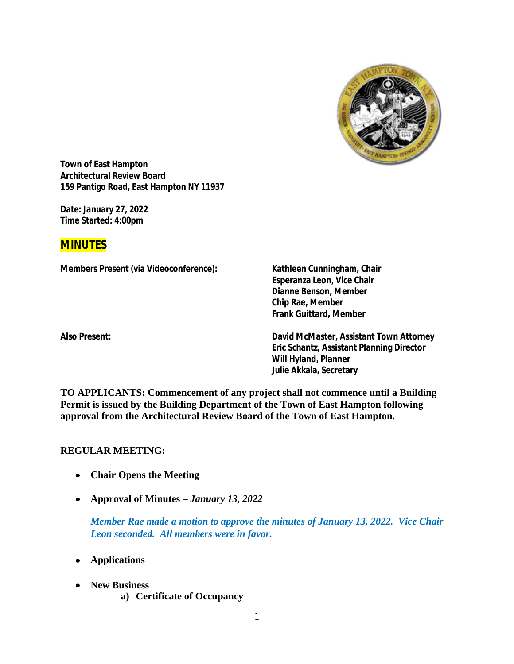

**Town of East Hampton Architectural Review Board 159 Pantigo Road, East Hampton NY 11937**

**Date:** *January 27, 2022* **Time Started: 4:00pm**

# **MINUTES**

**Members Present (via Videoconference): Kathleen Cunningham, Chair**

**Esperanza Leon, Vice Chair Dianne Benson, Member Chip Rae, Member Frank Guittard, Member**

**Also Present: David McMaster, Assistant Town Attorney Eric Schantz, Assistant Planning Director Will Hyland, Planner Julie Akkala, Secretary**

**TO APPLICANTS: Commencement of any project shall not commence until a Building Permit is issued by the Building Department of the Town of East Hampton following approval from the Architectural Review Board of the Town of East Hampton.**

### **REGULAR MEETING:**

- **Chair Opens the Meeting**
- **Approval of Minutes –** *January 13, 2022*

*Member Rae made a motion to approve the minutes of January 13, 2022. Vice Chair Leon seconded. All members were in favor.*

- **Applications**
- **New Business**
	- **a) Certificate of Occupancy**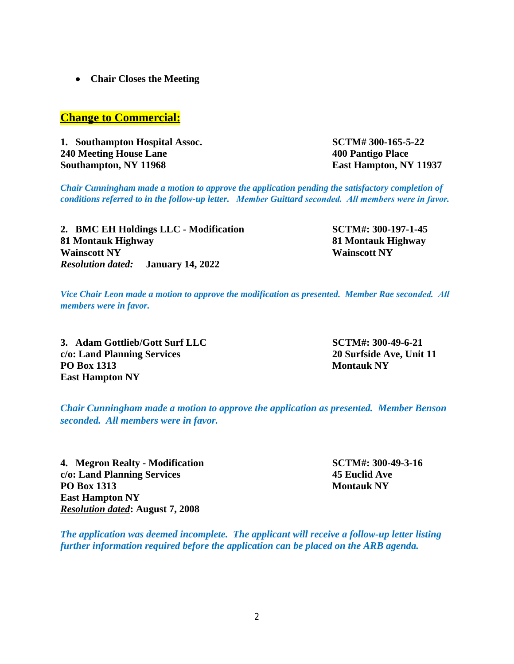**Chair Closes the Meeting**

# **Change to Commercial:**

**1. Southampton Hospital Assoc. SCTM# 300-165-5-22 240 Meeting House Lane 400 Pantigo Place Southampton, NY 11968 East Hampton, NY 11937**

*Chair Cunningham made a motion to approve the application pending the satisfactory completion of conditions referred to in the follow-up letter. Member Guittard seconded. All members were in favor.*

**2. BMC EH Holdings LLC - Modification SCTM#: 300-197-1-45 81 Montauk Highway 81 Montauk Highway Wainscott NY Wainscott NY** *Resolution dated:* **January 14, 2022**

*Vice Chair Leon made a motion to approve the modification as presented. Member Rae seconded. All members were in favor.*

**3. Adam Gottlieb/Gott Surf LLC SCTM#: 300-49-6-21 c/o: Land Planning Services 20 Surfside Ave, Unit 11 PO Box 1313 Montauk NY East Hampton NY**

*Chair Cunningham made a motion to approve the application as presented. Member Benson seconded. All members were in favor.*

**4. Megron Realty - Modification SCTM#: 300-49-3-16 c/o: Land Planning Services 45 Euclid Ave PO Box 1313 Montauk NY East Hampton NY** *Resolution dated***: August 7, 2008**

*The application was deemed incomplete. The applicant will receive a follow-up letter listing further information required before the application can be placed on the ARB agenda.*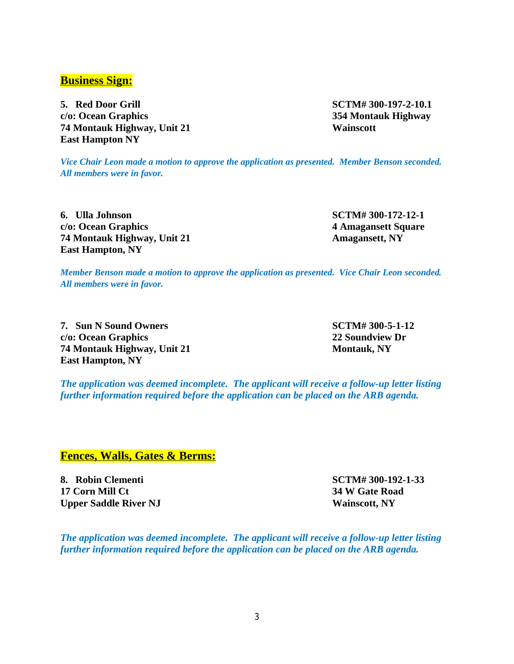3

## **Business Sign:**

**5. Red Door Grill SCTM# 300-197-2-10.1 c/o: Ocean Graphics 354 Montauk Highway 74 Montauk Highway, Unit 21 Wainscott East Hampton NY**

*Vice Chair Leon made a motion to approve the application as presented. Member Benson seconded. All members were in favor.*

**6. Ulla Johnson SCTM# 300-172-12-1 c/o: Ocean Graphics 4 Amagansett Square 74 Montauk Highway, Unit 21 Amagansett, NY East Hampton, NY**

*Member Benson made a motion to approve the application as presented. Vice Chair Leon seconded. All members were in favor.*

**7. Sun N Sound Owners SCTM# 300-5-1-12 c/o: Ocean Graphics 22 Soundview Dr 74 Montauk Highway, Unit 21 Montauk, NY East Hampton, NY**

*The application was deemed incomplete. The applicant will receive a follow-up letter listing further information required before the application can be placed on the ARB agenda.*

### **Fences, Walls, Gates & Berms:**

**8. Robin Clementi SCTM# 300-192-1-33 17 Corn Mill Ct 34 W Gate Road Upper Saddle River NJ Wainscott, NY** 

*The application was deemed incomplete. The applicant will receive a follow-up letter listing further information required before the application can be placed on the ARB agenda.*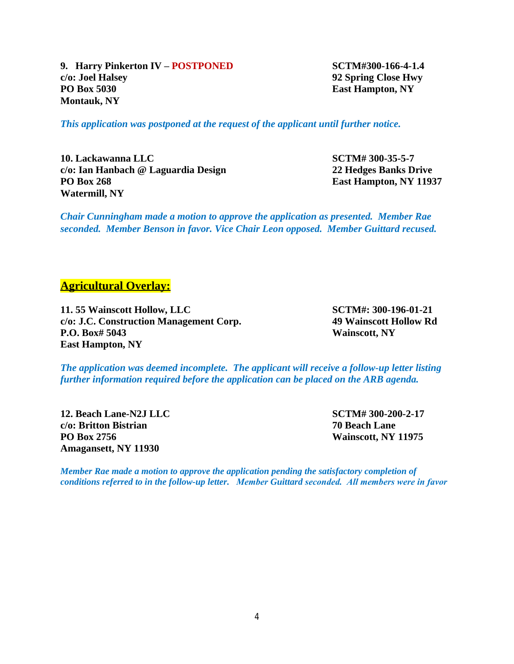**9. Harry Pinkerton IV – POSTPONED SCTM#300-166-4-1.4 c/o: Joel Halsey 92 Spring Close Hwy PO Box 5030 East Hampton, NY Montauk, NY**

*This application was postponed at the request of the applicant until further notice.*

**10. Lackawanna LLC SCTM# 300-35-5-7 c/o: Ian Hanbach @ Laguardia Design 22 Hedges Banks Drive PO Box 268 East Hampton, NY 11937 Watermill, NY**

*Chair Cunningham made a motion to approve the application as presented. Member Rae seconded. Member Benson in favor. Vice Chair Leon opposed. Member Guittard recused.*

#### **Agricultural Overlay:**

**11. 55 Wainscott Hollow, LLC SCTM#: 300-196-01-21 c/o: J.C. Construction Management Corp. 49 Wainscott Hollow Rd P.O. Box# 5043 Wainscott, NY East Hampton, NY**

*The application was deemed incomplete. The applicant will receive a follow-up letter listing further information required before the application can be placed on the ARB agenda.*

**12. Beach Lane-N2J LLC SCTM# 300-200-2-17 c/o: Britton Bistrian 70 Beach Lane PO Box 2756 Wainscott, NY 11975 Amagansett, NY 11930**

*Member Rae made a motion to approve the application pending the satisfactory completion of conditions referred to in the follow-up letter. Member Guittard seconded. All members were in favor*